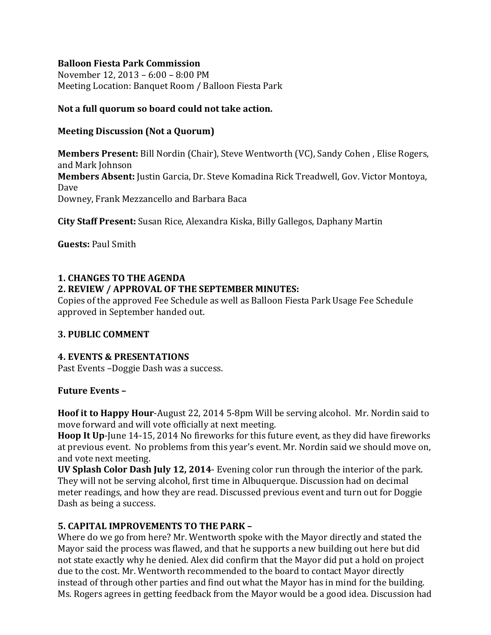#### **Balloon Fiesta Park Commission**

November 12, 2013 – 6:00 – 8:00 PM Meeting Location: Banquet Room / Balloon Fiesta Park

### **Not a full quorum so board could not take action.**

### **Meeting Discussion (Not a Quorum)**

**Members Present:** Bill Nordin (Chair), Steve Wentworth (VC), Sandy Cohen , Elise Rogers, and Mark Johnson **Members Absent:** Justin Garcia, Dr. Steve Komadina Rick Treadwell, Gov. Victor Montoya, Dave Downey, Frank Mezzancello and Barbara Baca

**City Staff Present:** Susan Rice, Alexandra Kiska, Billy Gallegos, Daphany Martin

**Guests:** Paul Smith

#### **1. CHANGES TO THE AGENDA**

### **2. REVIEW / APPROVAL OF THE SEPTEMBER MINUTES:**

Copies of the approved Fee Schedule as well as Balloon Fiesta Park Usage Fee Schedule approved in September handed out.

#### **3. PUBLIC COMMENT**

#### **4. EVENTS & PRESENTATIONS**

Past Events –Doggie Dash was a success.

#### **Future Events –**

**Hoof it to Happy Hour**-August 22, 2014 5-8pm Will be serving alcohol. Mr. Nordin said to move forward and will vote officially at next meeting.

**Hoop It Up**-June 14-15, 2014 No fireworks for this future event, as they did have fireworks at previous event. No problems from this year's event. Mr. Nordin said we should move on, and vote next meeting.

**UV Splash Color Dash July 12, 2014**- Evening color run through the interior of the park. They will not be serving alcohol, first time in Albuquerque. Discussion had on decimal meter readings, and how they are read. Discussed previous event and turn out for Doggie Dash as being a success.

# **5. CAPITAL IMPROVEMENTS TO THE PARK –**

Where do we go from here? Mr. Wentworth spoke with the Mayor directly and stated the Mayor said the process was flawed, and that he supports a new building out here but did not state exactly why he denied. Alex did confirm that the Mayor did put a hold on project due to the cost. Mr. Wentworth recommended to the board to contact Mayor directly instead of through other parties and find out what the Mayor has in mind for the building. Ms. Rogers agrees in getting feedback from the Mayor would be a good idea. Discussion had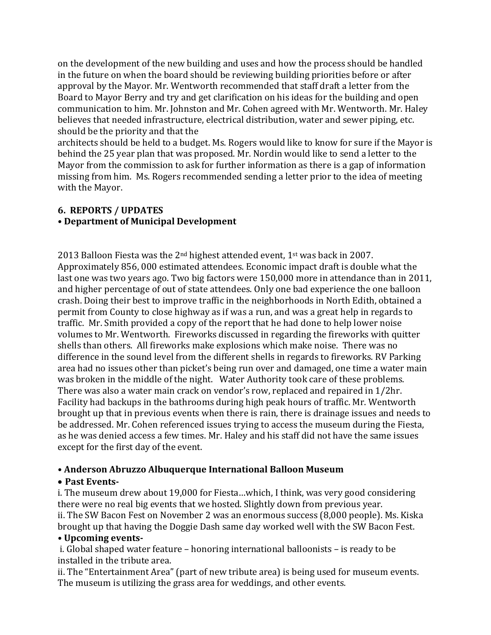on the development of the new building and uses and how the process should be handled in the future on when the board should be reviewing building priorities before or after approval by the Mayor. Mr. Wentworth recommended that staff draft a letter from the Board to Mayor Berry and try and get clarification on his ideas for the building and open communication to him. Mr. Johnston and Mr. Cohen agreed with Mr. Wentworth. Mr. Haley believes that needed infrastructure, electrical distribution, water and sewer piping, etc. should be the priority and that the

architects should be held to a budget. Ms. Rogers would like to know for sure if the Mayor is behind the 25 year plan that was proposed. Mr. Nordin would like to send a letter to the Mayor from the commission to ask for further information as there is a gap of information missing from him. Ms. Rogers recommended sending a letter prior to the idea of meeting with the Mayor.

### **6. REPORTS / UPDATES**

# **• Department of Municipal Development**

2013 Balloon Fiesta was the  $2^{nd}$  highest attended event, 1st was back in 2007. Approximately 856, 000 estimated attendees. Economic impact draft is double what the last one was two years ago. Two big factors were 150,000 more in attendance than in 2011, and higher percentage of out of state attendees. Only one bad experience the one balloon crash. Doing their best to improve traffic in the neighborhoods in North Edith, obtained a permit from County to close highway as if was a run, and was a great help in regards to traffic. Mr. Smith provided a copy of the report that he had done to help lower noise volumes to Mr. Wentworth. Fireworks discussed in regarding the fireworks with quitter shells than others. All fireworks make explosions which make noise. There was no difference in the sound level from the different shells in regards to fireworks. RV Parking area had no issues other than picket's being run over and damaged, one time a water main was broken in the middle of the night. Water Authority took care of these problems. There was also a water main crack on vendor's row, replaced and repaired in 1/2hr. Facility had backups in the bathrooms during high peak hours of traffic. Mr. Wentworth brought up that in previous events when there is rain, there is drainage issues and needs to be addressed. Mr. Cohen referenced issues trying to access the museum during the Fiesta, as he was denied access a few times. Mr. Haley and his staff did not have the same issues except for the first day of the event.

# **• Anderson Abruzzo Albuquerque International Balloon Museum**

# • **Past Events-**

i. The museum drew about 19,000 for Fiesta…which, I think, was very good considering there were no real big events that we hosted. Slightly down from previous year. ii. The SW Bacon Fest on November 2 was an enormous success (8,000 people). Ms. Kiska brought up that having the Doggie Dash same day worked well with the SW Bacon Fest.

# **• Upcoming events-**

i. Global shaped water feature – honoring international balloonists – is ready to be installed in the tribute area.

ii. The "Entertainment Area" (part of new tribute area) is being used for museum events. The museum is utilizing the grass area for weddings, and other events.